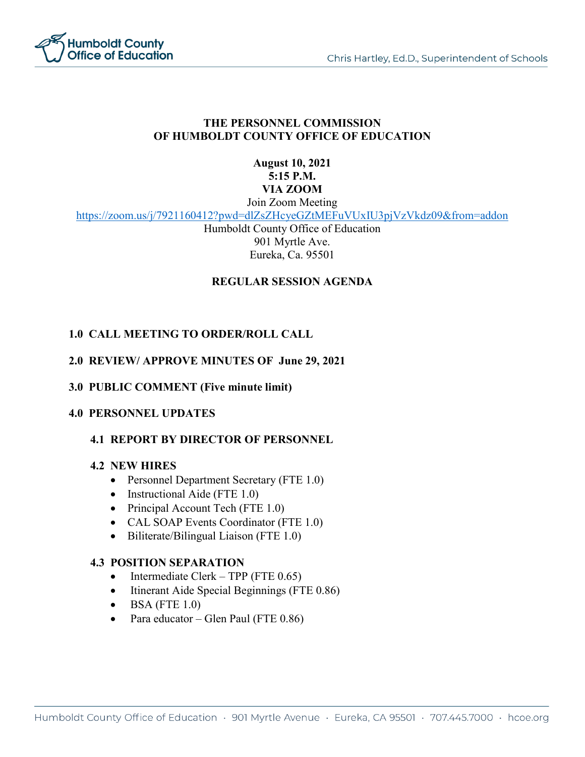

# **THE PERSONNEL COMMISSION OF HUMBOLDT COUNTY OFFICE OF EDUCATION**

# **August 10, 2021 5:15 P.M. VIA ZOOM**

Join Zoom Meeting

<https://zoom.us/j/7921160412?pwd=dlZsZHcyeGZtMEFuVUxIU3pjVzVkdz09&from=addon>

Humboldt County Office of Education 901 Myrtle Ave. Eureka, Ca. 95501

## **REGULAR SESSION AGENDA**

## **1.0 CALL MEETING TO ORDER/ROLL CALL**

### **2.0 REVIEW/ APPROVE MINUTES OF June 29, 2021**

#### **3.0 PUBLIC COMMENT (Five minute limit)**

#### **4.0 PERSONNEL UPDATES**

## **4.1 REPORT BY DIRECTOR OF PERSONNEL**

#### **4.2 NEW HIRES**

- Personnel Department Secretary (FTE 1.0)
- Instructional Aide (FTE 1.0)
- Principal Account Tech (FTE 1.0)
- CAL SOAP Events Coordinator (FTE 1.0)
- Biliterate/Bilingual Liaison (FTE 1.0)

#### **4.3 POSITION SEPARATION**

- Intermediate Clerk TPP (FTE 0.65)
- Itinerant Aide Special Beginnings (FTE 0.86)
- $\bullet$  BSA (FTE 1.0)
- Para educator Glen Paul (FTE 0.86)